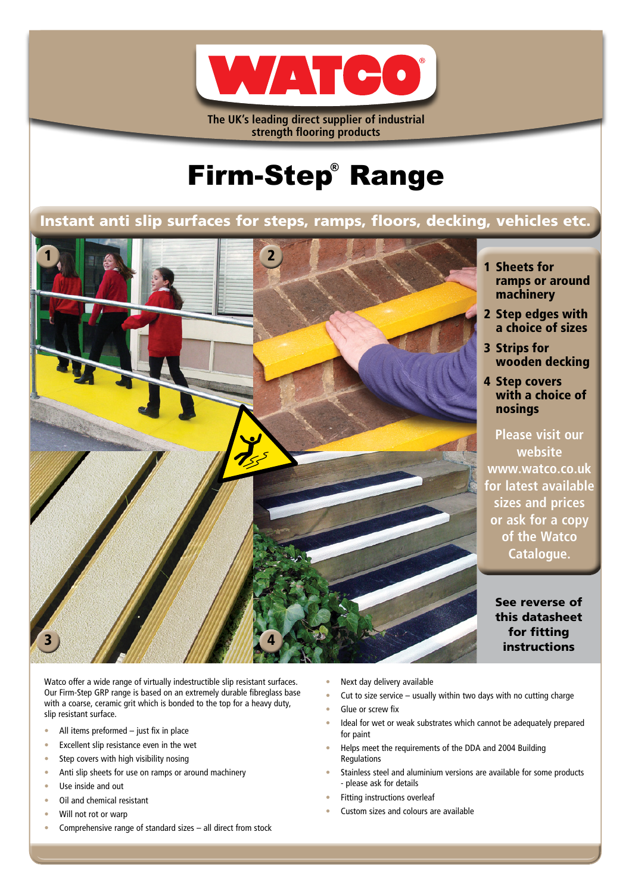

**The UK's leading direct supplier of industrial strength flooring products**

# Firm-Step® Range

# Instant anti slip surfaces for steps, ramps, floors, decking, vehicles etc.



- 1 Sheets for ramps or around machinery
- 2 Step edges with a choice of sizes
- 3 Strips for wooden decking
- 4 Step covers with a choice of nosings

**Please visit our website www.watco.co.uk for latest available sizes and prices or ask for a copy of the Watco Catalogue.**

See reverse of this datasheet for fitting instructions

Watco offer a wide range of virtually indestructible slip resistant surfaces. Our Firm-Step GRP range is based on an extremely durable fibreglass base with a coarse, ceramic grit which is bonded to the top for a heavy duty, slip resistant surface.

- All items preformed just fix in place
- Excellent slip resistance even in the wet
- Step covers with high visibility nosing
- Anti slip sheets for use on ramps or around machinery
- Use inside and out
- Oil and chemical resistant
- Will not rot or warp
- Comprehensive range of standard sizes all direct from stock
- Next day delivery available
- Cut to size service  $-$  usually within two days with no cutting charge
- Glue or screw fix
- Ideal for wet or weak substrates which cannot be adequately prepared for paint
- Helps meet the requirements of the DDA and 2004 Building Regulations
- Stainless steel and aluminium versions are available for some products - please ask for details
- Fitting instructions overleaf
- Custom sizes and colours are available